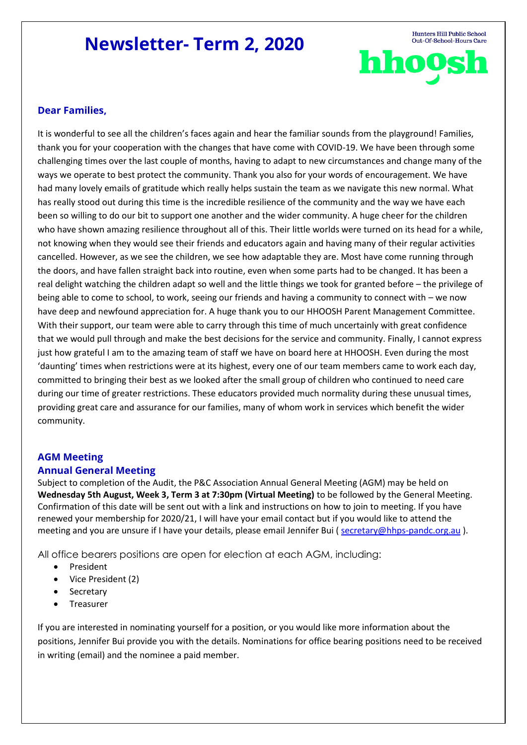# **Newsletter- Term 2, 2020**

Hunters Hill Public School Out-Of-School-Hours Care hhoos

### **Dear Families,**

It is wonderful to see all the children's faces again and hear the familiar sounds from the playground! Families, thank you for your cooperation with the changes that have come with COVID-19. We have been through some challenging times over the last couple of months, having to adapt to new circumstances and change many of the ways we operate to best protect the community. Thank you also for your words of encouragement. We have had many lovely emails of gratitude which really helps sustain the team as we navigate this new normal. What has really stood out during this time is the incredible resilience of the community and the way we have each been so willing to do our bit to support one another and the wider community. A huge cheer for the children who have shown amazing resilience throughout all of this. Their little worlds were turned on its head for a while, not knowing when they would see their friends and educators again and having many of their regular activities cancelled. However, as we see the children, we see how adaptable they are. Most have come running through the doors, and have fallen straight back into routine, even when some parts had to be changed. It has been a real delight watching the children adapt so well and the little things we took for granted before – the privilege of being able to come to school, to work, seeing our friends and having a community to connect with – we now have deep and newfound appreciation for. A huge thank you to our HHOOSH Parent Management Committee. With their support, our team were able to carry through this time of much uncertainly with great confidence that we would pull through and make the best decisions for the service and community. Finally, I cannot express just how grateful I am to the amazing team of staff we have on board here at HHOOSH. Even during the most 'daunting' times when restrictions were at its highest, every one of our team members came to work each day, committed to bringing their best as we looked after the small group of children who continued to need care during our time of greater restrictions. These educators provided much normality during these unusual times, providing great care and assurance for our families, many of whom work in services which benefit the wider community.

#### **AGM Meeting**

#### **Annual General Meeting**

Subject to completion of the Audit, the P&C Association Annual General Meeting (AGM) may be held on **Wednesday 5th August, Week 3, Term 3 at 7:30pm (Virtual Meeting)** to be followed by the General Meeting. Confirmation of this date will be sent out with a link and instructions on how to join to meeting. If you have renewed your membership for 2020/21, I will have your email contact but if you would like to attend the meeting and you are unsure if I have your details, please email Jennifer Bui (secretary@hhps-pandc.org.au ).

All office bearers positions are open for election at each AGM, including:

- President
- Vice President (2)
- **Secretary**
- **Treasurer**

If you are interested in nominating yourself for a position, or you would like more information about the positions, Jennifer Bui provide you with the details. Nominations for office bearing positions need to be received in writing (email) and the nominee a paid member.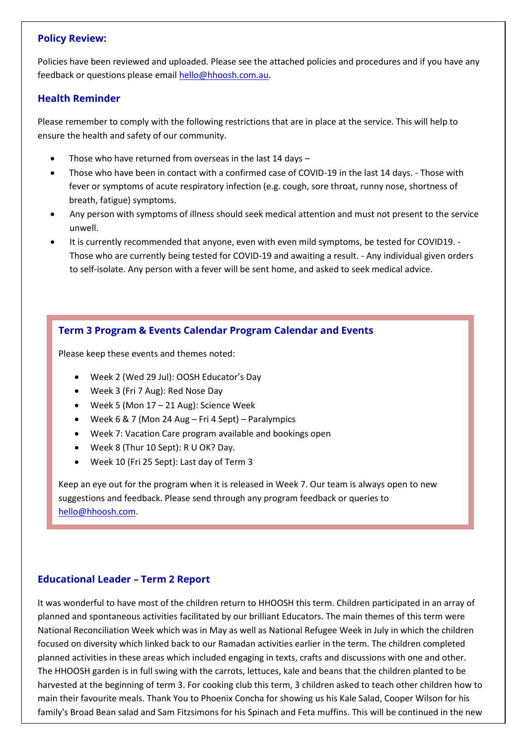#### **Policy Review:**

Policies have been reviewed and uploaded. Please see the attached policies and procedures and if you have any feedback or questions please email [hello@hhoosh.com.au.](mailto:hello@hhoosh.com.au)

#### **Health Reminder**

Please remember to comply with the following restrictions that are in place at the service. This will help to ensure the health and safety of our community.

- Those who have returned from overseas in the last  $14$  days  $-$
- Those who have been in contact with a confirmed case of COVID-19 in the last 14 days. Those with fever or symptoms of acute respiratory infection (e.g. cough, sore throat, runny nose, shortness of breath, fatigue) symptoms.
- Any person with symptoms of illness should seek medical attention and must not present to the service unwell.
- It is currently recommended that anyone, even with even mild symptoms, be tested for COVID19. Those who are currently being tested for COVID-19 and awaiting a result. - Any individual given orders to self-isolate. Any person with a fever will be sent home, and asked to seek medical advice.

# **Term 3 Program & Events Calendar Program Calendar and Events**

Please keep these events and themes noted:

- Week 2 (Wed 29 Jul): OOSH Educator's Day
- Week 3 (Fri 7 Aug): Red Nose Day
- Week 5 (Mon 17 21 Aug): Science Week
- Week 6 & 7 (Mon 24 Aug Fri 4 Sept) Paralympics
- Week 7: Vacation Care program available and bookings open
- Week 8 (Thur 10 Sept): R U OK? Day.
- Week 10 (Fri 25 Sept): Last day of Term 3

Keep an eye out for the program when it is released in Week 7. Our team is always open to new suggestions and feedback. Please send through any program feedback or queries to [hello@hhoosh.com.](mailto:hello@hhoosh.com)

#### **Educational Leader – Term 2 Report**

It was wonderful to have most of the children return to HHOOSH this term. Children participated in an array of planned and spontaneous activities facilitated by our brilliant Educators. The main themes of this term were National Reconciliation Week which was in May as well as National Refugee Week in July in which the children focused on diversity which linked back to our Ramadan activities earlier in the term. The children completed planned activities in these areas which included engaging in texts, crafts and discussions with one and other. The HHOOSH garden is in full swing with the carrots, lettuces, kale and beans that the children planted to be harvested at the beginning of term 3. For cooking club this term, 3 children asked to teach other children how to main their favourite meals. Thank You to Phoenix Concha for showing us his Kale Salad, Cooper Wilson for his family's Broad Bean salad and Sam Fitzsimons for his Spinach and Feta muffins. This will be continued in the new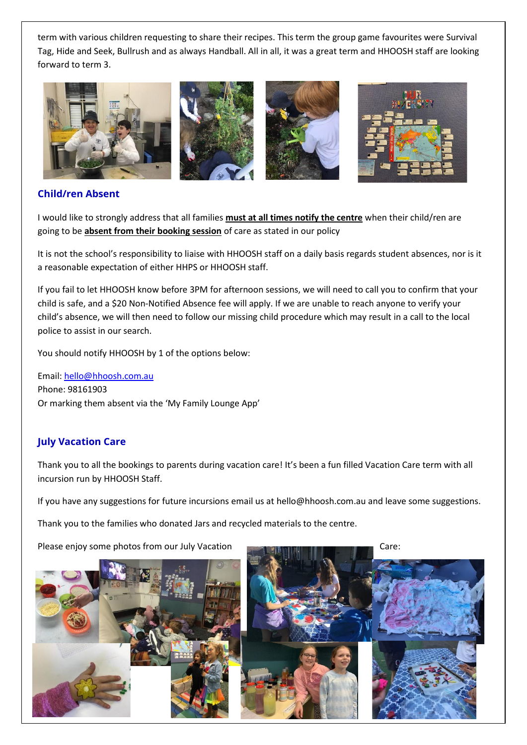term with various children requesting to share their recipes. This term the group game favourites were Survival Tag, Hide and Seek, Bullrush and as always Handball. All in all, it was a great term and HHOOSH staff are looking forward to term 3.



# **Child/ren Absent**

I would like to strongly address that all families **must at all times notify the centre** when their child/ren are going to be **absent from their booking session** of care as stated in our policy

It is not the school's responsibility to liaise with HHOOSH staff on a daily basis regards student absences, nor is it a reasonable expectation of either HHPS or HHOOSH staff.

If you fail to let HHOOSH know before 3PM for afternoon sessions, we will need to call you to confirm that your child is safe, and a \$20 Non-Notified Absence fee will apply. If we are unable to reach anyone to verify your child's absence, we will then need to follow our missing child procedure which may result in a call to the local police to assist in our search.

You should notify HHOOSH by 1 of the options below:

Email[: hello@hhoosh.com.au](mailto:hello@hhoosh.com.au) Phone: 98161903 Or marking them absent via the 'My Family Lounge App'

# **July Vacation Care**

Thank you to all the bookings to parents during vacation care! It's been a fun filled Vacation Care term with all incursion run by HHOOSH Staff.

If you have any suggestions for future incursions email us at [hello@hhoosh.com.au](mailto:hello@hhoosh.com.au) and leave some suggestions.

Thank you to the families who donated Jars and recycled materials to the centre.

Please enjoy some photos from our July Vacation Care: Care: